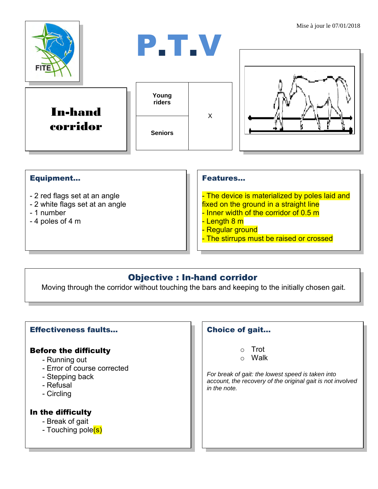

## Equipment...

- 2 red flags set at an angle
- 2 white flags set at an angle
- 1 number
- 4 poles of 4 m

#### Features…

- The device is materialized by poles laid and fixed on the ground in a straight line
- Inner width of the corridor of 0.5 m
- <mark>- Length 8 m</mark>
- Regular ground
- The stirrups must be raised or crossed

# Objective : In-hand corridor

Moving through the corridor without touching the bars and keeping to the initially chosen gait.

## Effectiveness faults…

### Before the difficulty

- Running out
- Error of course corrected
- Stepping back
- Refusal
- Circling

#### In the difficulty

- Break of gait
- Touching pole(s)

### Choice of gait…

- o Trot
- o Walk

*For break of gait: the lowest speed is taken into account, the recovery of the original gait is not involved in the note.*